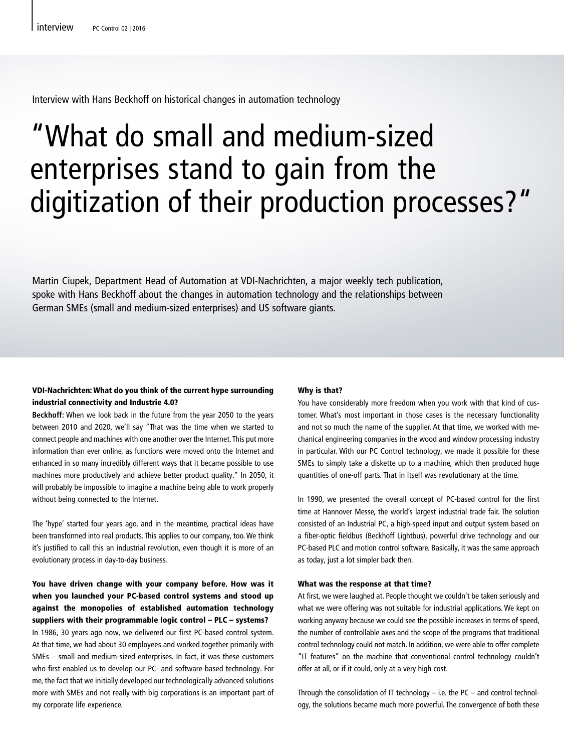Interview with Hans Beckhoff on historical changes in automation technology

# "What do small and medium-sized enterprises stand to gain from the digitization of their production processes?"

Martin Ciupek, Department Head of Automation at VDI-Nachrichten, a major weekly tech publication, spoke with Hans Beckhoff about the changes in automation technology and the relationships between German SMEs (small and medium-sized enterprises) and US software giants.

## VDI-Nachrichten: What do you think of the current hype surrounding industrial connectivity and Industrie 4.0?

**Beckhoff:** When we look back in the future from the year 2050 to the years between 2010 and 2020, we'll say "That was the time when we started to connect people and machines with one another over the Internet. This put more information than ever online, as functions were moved onto the Internet and enhanced in so many incredibly different ways that it became possible to use machines more productively and achieve better product quality." In 2050, it will probably be impossible to imagine a machine being able to work properly without being connected to the Internet.

The 'hype' started four years ago, and in the meantime, practical ideas have been transformed into real products. This applies to our company, too. We think it's justified to call this an industrial revolution, even though it is more of an evolutionary process in day-to-day business.

# You have driven change with your company before. How was it when you launched your PC-based control systems and stood up against the monopolies of established automation technology suppliers with their programmable logic control – PLC – systems?

In 1986, 30 years ago now, we delivered our first PC-based control system. At that time, we had about 30 employees and worked together primarily with SMEs – small and medium-sized enterprises. In fact, it was these customers who first enabled us to develop our PC- and software-based technology. For me, the fact that we initially developed our technologically advanced solutions more with SMEs and not really with big corporations is an important part of my corporate life experience.

#### Why is that?

You have considerably more freedom when you work with that kind of customer. What's most important in those cases is the necessary functionality and not so much the name of the supplier. At that time, we worked with mechanical engineering companies in the wood and window processing industry in particular. With our PC Control technology, we made it possible for these SMEs to simply take a diskette up to a machine, which then produced huge quantities of one-off parts. That in itself was revolutionary at the time.

In 1990, we presented the overall concept of PC-based control for the first time at Hannover Messe, the world's largest industrial trade fair. The solution consisted of an Industrial PC, a high-speed input and output system based on a fiber-optic fieldbus (Beckhoff Lightbus), powerful drive technology and our PC-based PLC and motion control software. Basically, it was the same approach as today, just a lot simpler back then.

#### What was the response at that time?

At first, we were laughed at. People thought we couldn't be taken seriously and what we were offering was not suitable for industrial applications. We kept on working anyway because we could see the possible increases in terms of speed, the number of controllable axes and the scope of the programs that traditional control technology could not match. In addition, we were able to offer complete "IT features" on the machine that conventional control technology couldn't offer at all, or if it could, only at a very high cost.

Through the consolidation of IT technology – i.e. the PC – and control technology, the solutions became much more powerful. The convergence of both these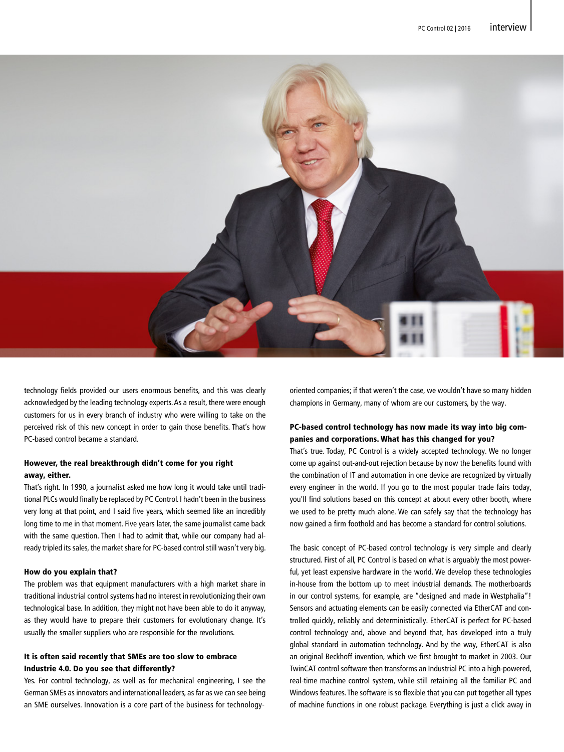|



technology fields provided our users enormous benefits, and this was clearly acknowledged by the leading technology experts. As a result, there were enough customers for us in every branch of industry who were willing to take on the perceived risk of this new concept in order to gain those benefits. That's how PC-based control became a standard.

# However, the real breakthrough didn't come for you right away, either.

That's right. In 1990, a journalist asked me how long it would take until traditional PLCs would finally be replaced by PC Control. I hadn't been in the business very long at that point, and I said five years, which seemed like an incredibly long time to me in that moment. Five years later, the same journalist came back with the same question. Then I had to admit that, while our company had already tripled its sales, the market share for PC-based control still wasn't very big.

### How do you explain that?

The problem was that equipment manufacturers with a high market share in traditional industrial control systems had no interest in revolutionizing their own technological base. In addition, they might not have been able to do it anyway, as they would have to prepare their customers for evolutionary change. It's usually the smaller suppliers who are responsible for the revolutions.

# It is often said recently that SMEs are too slow to embrace Industrie 4.0. Do you see that differently?

Yes. For control technology, as well as for mechanical engineering, I see the German SMEs as innovators and international leaders, as far as we can see being an SME ourselves. Innovation is a core part of the business for technologyoriented companies; if that weren't the case, we wouldn't have so many hidden champions in Germany, many of whom are our customers, by the way.

# PC-based control technology has now made its way into big companies and corporations. What has this changed for you?

That's true. Today, PC Control is a widely accepted technology. We no longer come up against out-and-out rejection because by now the benefits found with the combination of IT and automation in one device are recognized by virtually every engineer in the world. If you go to the most popular trade fairs today, you'll find solutions based on this concept at about every other booth, where we used to be pretty much alone. We can safely say that the technology has now gained a firm foothold and has become a standard for control solutions.

The basic concept of PC-based control technology is very simple and clearly structured. First of all, PC Control is based on what is arguably the most powerful, yet least expensive hardware in the world. We develop these technologies in-house from the bottom up to meet industrial demands. The motherboards in our control systems, for example, are "designed and made in Westphalia"! Sensors and actuating elements can be easily connected via EtherCAT and controlled quickly, reliably and deterministically. EtherCAT is perfect for PC-based control technology and, above and beyond that, has developed into a truly global standard in automation technology. And by the way, EtherCAT is also an original Beckhoff invention, which we first brought to market in 2003. Our TwinCAT control software then transforms an Industrial PC into a high-powered, real-time machine control system, while still retaining all the familiar PC and Windows features. The software is so flexible that you can put together all types of machine functions in one robust package. Everything is just a click away in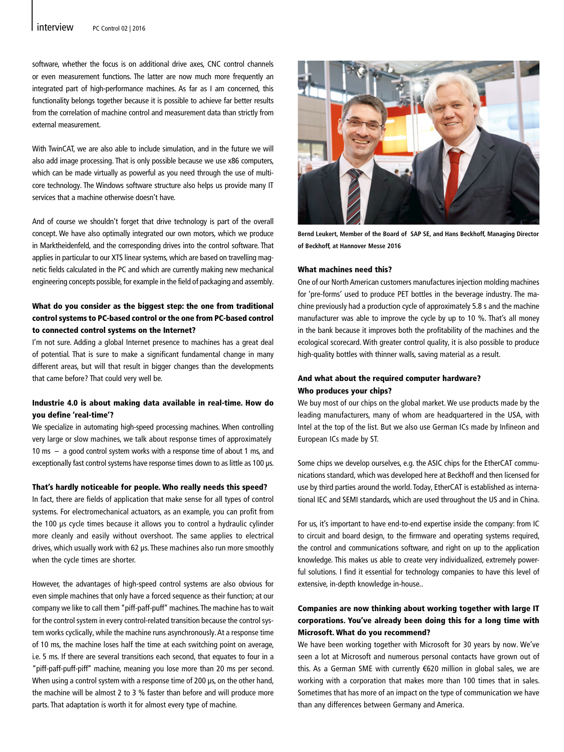|

software, whether the focus is on additional drive axes, CNC control channels or even measurement functions. The latter are now much more frequently an integrated part of high-performance machines. As far as I am concerned, this functionality belongs together because it is possible to achieve far better results from the correlation of machine control and measurement data than strictly from external measurement.

With TwinCAT, we are also able to include simulation, and in the future we will also add image processing. That is only possible because we use x86 computers, which can be made virtually as powerful as you need through the use of multicore technology. The Windows software structure also helps us provide many IT services that a machine otherwise doesn't have.

And of course we shouldn't forget that drive technology is part of the overall concept. We have also optimally integrated our own motors, which we produce in Marktheidenfeld, and the corresponding drives into the control software. That applies in particular to our XTS linear systems, which are based on travelling magnetic fields calculated in the PC and which are currently making new mechanical engineering concepts possible, for example in the field of packaging and assembly.

# What do you consider as the biggest step: the one from traditional control systems to PC-based control or the one from PC-based control to connected control systems on the Internet?

I'm not sure. Adding a global Internet presence to machines has a great deal of potential. That is sure to make a significant fundamental change in many different areas, but will that result in bigger changes than the developments that came before? That could very well be.

## Industrie 4.0 is about making data available in real-time. How do you define 'real-time'?

We specialize in automating high-speed processing machines. When controlling very large or slow machines, we talk about response times of approximately 10 ms – a good control system works with a response time of about 1 ms, and exceptionally fast control systems have response times down to as little as 100 µs.

#### That's hardly noticeable for people. Who really needs this speed?

In fact, there are fields of application that make sense for all types of control systems. For electromechanical actuators, as an example, you can profit from the 100 µs cycle times because it allows you to control a hydraulic cylinder more cleanly and easily without overshoot. The same applies to electrical drives, which usually work with 62 µs. These machines also run more smoothly when the cycle times are shorter.

However, the advantages of high-speed control systems are also obvious for even simple machines that only have a forced sequence as their function; at our company we like to call them "piff-paff-puff" machines. The machine has to wait for the control system in every control-related transition because the control system works cyclically, while the machine runs asynchronously. At a response time of 10 ms, the machine loses half the time at each switching point on average, i.e. 5 ms. If there are several transitions each second, that equates to four in a "piff-paff-puff-piff" machine, meaning you lose more than 20 ms per second. When using a control system with a response time of 200  $\mu$ s, on the other hand, the machine will be almost 2 to 3 % faster than before and will produce more parts. That adaptation is worth it for almost every type of machine.



**Bernd Leukert, Member of the Board of SAP SE, and Hans Beckhoff, Managing Director of Beckhoff, at Hannover Messe 2016**

#### What machines need this?

One of our North American customers manufactures injection molding machines for 'pre-forms' used to produce PET bottles in the beverage industry. The machine previously had a production cycle of approximately 5.8 s and the machine manufacturer was able to improve the cycle by up to 10 %. That's all money in the bank because it improves both the profitability of the machines and the ecological scorecard. With greater control quality, it is also possible to produce high-quality bottles with thinner walls, saving material as a result.

## And what about the required computer hardware? Who produces your chips?

We buy most of our chips on the global market. We use products made by the leading manufacturers, many of whom are headquartered in the USA, with Intel at the top of the list. But we also use German ICs made by Infineon and European ICs made by ST.

Some chips we develop ourselves, e.g. the ASIC chips for the EtherCAT communications standard, which was developed here at Beckhoff and then licensed for use by third parties around the world. Today, EtherCAT is established as international IEC and SEMI standards, which are used throughout the US and in China.

For us, it's important to have end-to-end expertise inside the company: from IC to circuit and board design, to the firmware and operating systems required, the control and communications software, and right on up to the application knowledge. This makes us able to create very individualized, extremely powerful solutions. I find it essential for technology companies to have this level of extensive, in-depth knowledge in-house..

# Companies are now thinking about working together with large IT corporations. You've already been doing this for a long time with Microsoft. What do you recommend?

We have been working together with Microsoft for 30 years by now. We've seen a lot at Microsoft and numerous personal contacts have grown out of this. As a German SME with currently €620 million in global sales, we are working with a corporation that makes more than 100 times that in sales. Sometimes that has more of an impact on the type of communication we have than any differences between Germany and America.